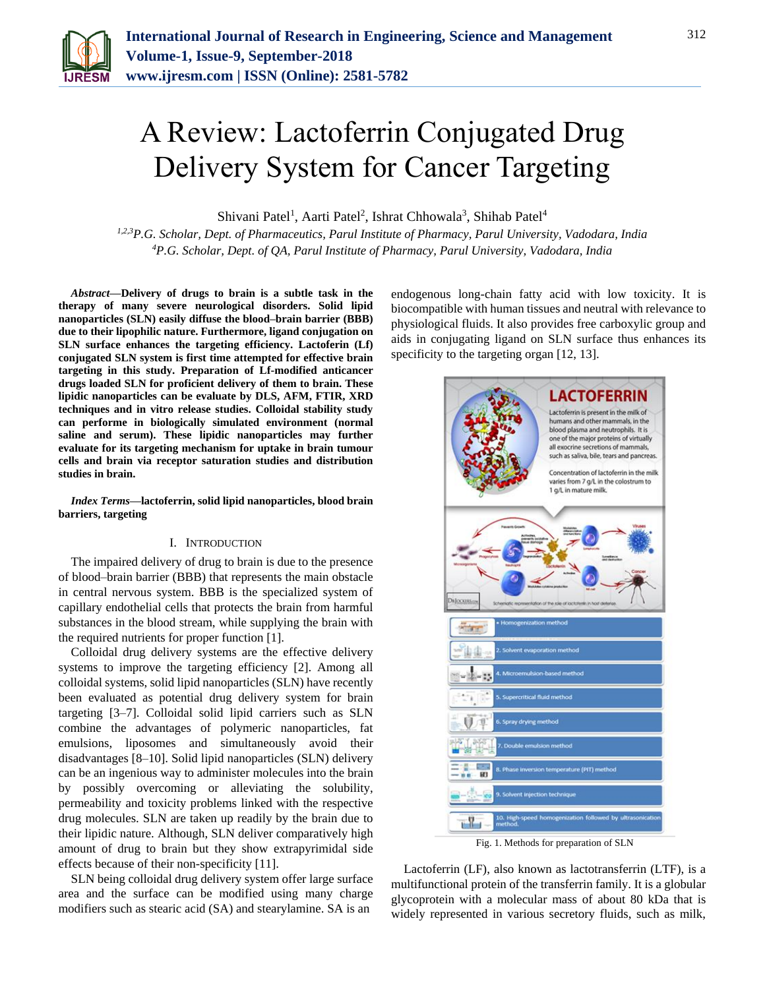

# A Review: Lactoferrin Conjugated Drug Delivery System for Cancer Targeting

Shivani Patel<sup>1</sup>, Aarti Patel<sup>2</sup>, Ishrat Chhowala<sup>3</sup>, Shihab Patel<sup>4</sup>

*1,2,3P.G. Scholar, Dept. of Pharmaceutics, Parul Institute of Pharmacy, Parul University, Vadodara, India <sup>4</sup>P.G. Scholar, Dept. of QA, Parul Institute of Pharmacy, Parul University, Vadodara, India*

*Abstract***—Delivery of drugs to brain is a subtle task in the therapy of many severe neurological disorders. Solid lipid nanoparticles (SLN) easily diffuse the blood–brain barrier (BBB) due to their lipophilic nature. Furthermore, ligand conjugation on SLN surface enhances the targeting efficiency. Lactoferin (Lf) conjugated SLN system is first time attempted for effective brain targeting in this study. Preparation of Lf-modified anticancer drugs loaded SLN for proficient delivery of them to brain. These lipidic nanoparticles can be evaluate by DLS, AFM, FTIR, XRD techniques and in vitro release studies. Colloidal stability study can performe in biologically simulated environment (normal saline and serum). These lipidic nanoparticles may further evaluate for its targeting mechanism for uptake in brain tumour cells and brain via receptor saturation studies and distribution studies in brain.**

*Index Terms***—lactoferrin, solid lipid nanoparticles, blood brain barriers, targeting**

#### I. INTRODUCTION

The impaired delivery of drug to brain is due to the presence of blood–brain barrier (BBB) that represents the main obstacle in central nervous system. BBB is the specialized system of capillary endothelial cells that protects the brain from harmful substances in the blood stream, while supplying the brain with the required nutrients for proper function [1].

Colloidal drug delivery systems are the effective delivery systems to improve the targeting efficiency [2]. Among all colloidal systems, solid lipid nanoparticles (SLN) have recently been evaluated as potential drug delivery system for brain targeting [3–7]. Colloidal solid lipid carriers such as SLN combine the advantages of polymeric nanoparticles, fat emulsions, liposomes and simultaneously avoid their disadvantages [8–10]. Solid lipid nanoparticles (SLN) delivery can be an ingenious way to administer molecules into the brain by possibly overcoming or alleviating the solubility, permeability and toxicity problems linked with the respective drug molecules. SLN are taken up readily by the brain due to their lipidic nature. Although, SLN deliver comparatively high amount of drug to brain but they show extrapyrimidal side effects because of their non-specificity [11].

SLN being colloidal drug delivery system offer large surface area and the surface can be modified using many charge modifiers such as stearic acid (SA) and stearylamine. SA is an

endogenous long-chain fatty acid with low toxicity. It is biocompatible with human tissues and neutral with relevance to physiological fluids. It also provides free carboxylic group and aids in conjugating ligand on SLN surface thus enhances its specificity to the targeting organ [12, 13].



Fig. 1. Methods for preparation of SLN

Lactoferrin (LF), also known as lactotransferrin (LTF), is a multifunctional protein of the transferrin family. It is a globular glycoprotein with a molecular mass of about 80 kDa that is widely represented in various secretory fluids, such as milk,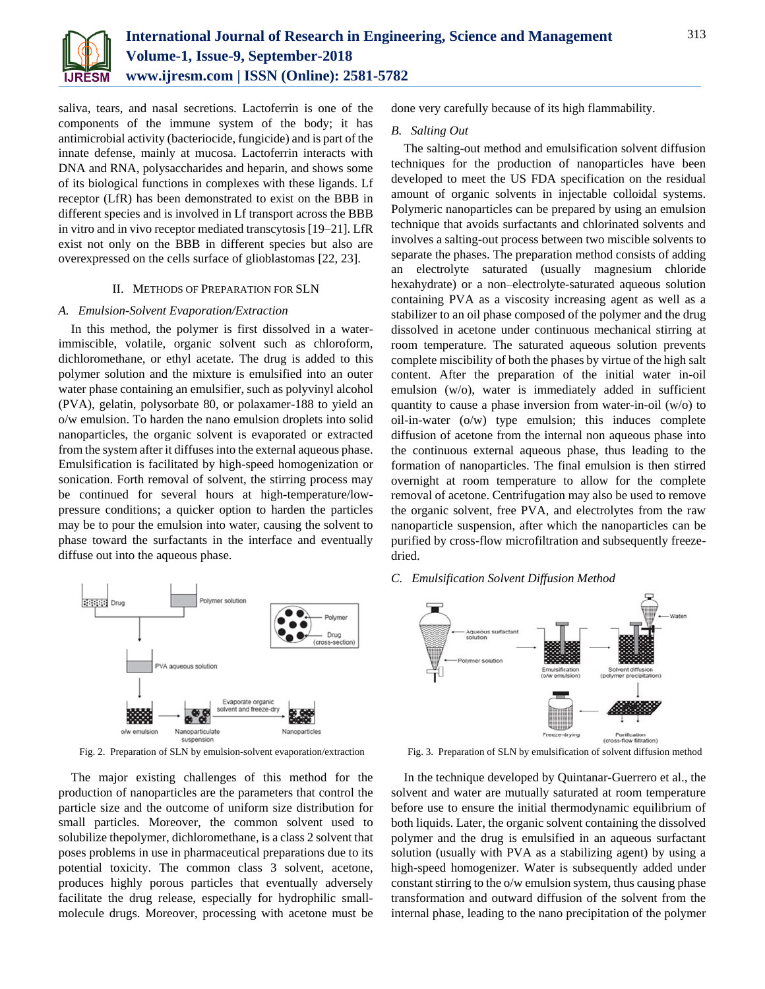

saliva, tears, and nasal secretions. Lactoferrin is one of the components of the immune system of the body; it has antimicrobial activity (bacteriocide, fungicide) and is part of the innate defense, mainly at mucosa. Lactoferrin interacts with DNA and RNA, polysaccharides and heparin, and shows some of its biological functions in complexes with these ligands. Lf receptor (LfR) has been demonstrated to exist on the BBB in different species and is involved in Lf transport across the BBB in vitro and in vivo receptor mediated transcytosis [19–21]. LfR exist not only on the BBB in different species but also are overexpressed on the cells surface of glioblastomas [22, 23].

#### II. METHODS OF PREPARATION FOR SLN

# *A. Emulsion-Solvent Evaporation/Extraction*

In this method, the polymer is first dissolved in a waterimmiscible, volatile, organic solvent such as chloroform, dichloromethane, or ethyl acetate. The drug is added to this polymer solution and the mixture is emulsified into an outer water phase containing an emulsifier, such as polyvinyl alcohol (PVA), gelatin, polysorbate 80, or polaxamer-188 to yield an o/w emulsion. To harden the nano emulsion droplets into solid nanoparticles, the organic solvent is evaporated or extracted from the system after it diffuses into the external aqueous phase. Emulsification is facilitated by high-speed homogenization or sonication. Forth removal of solvent, the stirring process may be continued for several hours at high-temperature/lowpressure conditions; a quicker option to harden the particles may be to pour the emulsion into water, causing the solvent to phase toward the surfactants in the interface and eventually diffuse out into the aqueous phase.



Fig. 2. Preparation of SLN by emulsion-solvent evaporation/extraction

The major existing challenges of this method for the production of nanoparticles are the parameters that control the particle size and the outcome of uniform size distribution for small particles. Moreover, the common solvent used to solubilize thepolymer, dichloromethane, is a class 2 solvent that poses problems in use in pharmaceutical preparations due to its potential toxicity. The common class 3 solvent, acetone, produces highly porous particles that eventually adversely facilitate the drug release, especially for hydrophilic smallmolecule drugs. Moreover, processing with acetone must be

done very carefully because of its high flammability.

#### *B. Salting Out*

The salting-out method and emulsification solvent diffusion techniques for the production of nanoparticles have been developed to meet the US FDA specification on the residual amount of organic solvents in injectable colloidal systems. Polymeric nanoparticles can be prepared by using an emulsion technique that avoids surfactants and chlorinated solvents and involves a salting-out process between two miscible solvents to separate the phases. The preparation method consists of adding an electrolyte saturated (usually magnesium chloride hexahydrate) or a non–electrolyte-saturated aqueous solution containing PVA as a viscosity increasing agent as well as a stabilizer to an oil phase composed of the polymer and the drug dissolved in acetone under continuous mechanical stirring at room temperature. The saturated aqueous solution prevents complete miscibility of both the phases by virtue of the high salt content. After the preparation of the initial water in-oil emulsion (w/o), water is immediately added in sufficient quantity to cause a phase inversion from water-in-oil (w/o) to oil-in-water (o/w) type emulsion; this induces complete diffusion of acetone from the internal non aqueous phase into the continuous external aqueous phase, thus leading to the formation of nanoparticles. The final emulsion is then stirred overnight at room temperature to allow for the complete removal of acetone. Centrifugation may also be used to remove the organic solvent, free PVA, and electrolytes from the raw nanoparticle suspension, after which the nanoparticles can be purified by cross-flow microfiltration and subsequently freezedried.

## *C. Emulsification Solvent Diffusion Method*



Fig. 3. Preparation of SLN by emulsification of solvent diffusion method

In the technique developed by Quintanar-Guerrero et al., the solvent and water are mutually saturated at room temperature before use to ensure the initial thermodynamic equilibrium of both liquids. Later, the organic solvent containing the dissolved polymer and the drug is emulsified in an aqueous surfactant solution (usually with PVA as a stabilizing agent) by using a high-speed homogenizer. Water is subsequently added under constant stirring to the o/w emulsion system, thus causing phase transformation and outward diffusion of the solvent from the internal phase, leading to the nano precipitation of the polymer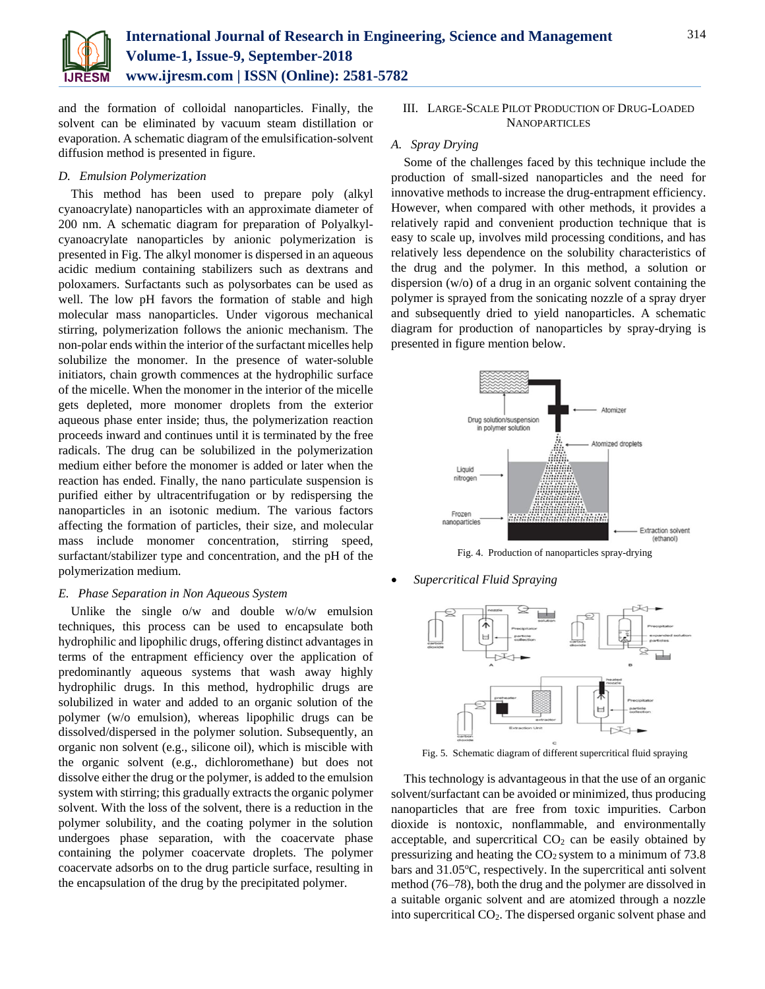

and the formation of colloidal nanoparticles. Finally, the solvent can be eliminated by vacuum steam distillation or evaporation. A schematic diagram of the emulsification-solvent diffusion method is presented in figure.

# *D. Emulsion Polymerization*

This method has been used to prepare poly (alkyl cyanoacrylate) nanoparticles with an approximate diameter of 200 nm. A schematic diagram for preparation of Polyalkylcyanoacrylate nanoparticles by anionic polymerization is presented in Fig. The alkyl monomer is dispersed in an aqueous acidic medium containing stabilizers such as dextrans and poloxamers. Surfactants such as polysorbates can be used as well. The low pH favors the formation of stable and high molecular mass nanoparticles. Under vigorous mechanical stirring, polymerization follows the anionic mechanism. The non-polar ends within the interior of the surfactant micelles help solubilize the monomer. In the presence of water-soluble initiators, chain growth commences at the hydrophilic surface of the micelle. When the monomer in the interior of the micelle gets depleted, more monomer droplets from the exterior aqueous phase enter inside; thus, the polymerization reaction proceeds inward and continues until it is terminated by the free radicals. The drug can be solubilized in the polymerization medium either before the monomer is added or later when the reaction has ended. Finally, the nano particulate suspension is purified either by ultracentrifugation or by redispersing the nanoparticles in an isotonic medium. The various factors affecting the formation of particles, their size, and molecular mass include monomer concentration, stirring speed, surfactant/stabilizer type and concentration, and the pH of the polymerization medium.

#### *E. Phase Separation in Non Aqueous System*

Unlike the single o/w and double w/o/w emulsion techniques, this process can be used to encapsulate both hydrophilic and lipophilic drugs, offering distinct advantages in terms of the entrapment efficiency over the application of predominantly aqueous systems that wash away highly hydrophilic drugs. In this method, hydrophilic drugs are solubilized in water and added to an organic solution of the polymer (w/o emulsion), whereas lipophilic drugs can be dissolved/dispersed in the polymer solution. Subsequently, an organic non solvent (e.g., silicone oil), which is miscible with the organic solvent (e.g., dichloromethane) but does not dissolve either the drug or the polymer, is added to the emulsion system with stirring; this gradually extracts the organic polymer solvent. With the loss of the solvent, there is a reduction in the polymer solubility, and the coating polymer in the solution undergoes phase separation, with the coacervate phase containing the polymer coacervate droplets. The polymer coacervate adsorbs on to the drug particle surface, resulting in the encapsulation of the drug by the precipitated polymer.

## III. LARGE-SCALE PILOT PRODUCTION OF DRUG-LOADED **NANOPARTICLES**

#### *A. Spray Drying*

Some of the challenges faced by this technique include the production of small-sized nanoparticles and the need for innovative methods to increase the drug-entrapment efficiency. However, when compared with other methods, it provides a relatively rapid and convenient production technique that is easy to scale up, involves mild processing conditions, and has relatively less dependence on the solubility characteristics of the drug and the polymer. In this method, a solution or dispersion (w/o) of a drug in an organic solvent containing the polymer is sprayed from the sonicating nozzle of a spray dryer and subsequently dried to yield nanoparticles. A schematic diagram for production of nanoparticles by spray-drying is presented in figure mention below.



Fig. 4. Production of nanoparticles spray-drying

*Supercritical Fluid Spraying*



Fig. 5. Schematic diagram of different supercritical fluid spraying

This technology is advantageous in that the use of an organic solvent/surfactant can be avoided or minimized, thus producing nanoparticles that are free from toxic impurities. Carbon dioxide is nontoxic, nonflammable, and environmentally acceptable, and supercritical  $CO<sub>2</sub>$  can be easily obtained by pressurizing and heating the  $CO<sub>2</sub>$  system to a minimum of 73.8 bars and  $31.05^{\circ}$ C, respectively. In the supercritical anti-solvent method (76–78), both the drug and the polymer are dissolved in a suitable organic solvent and are atomized through a nozzle into supercritical  $CO<sub>2</sub>$ . The dispersed organic solvent phase and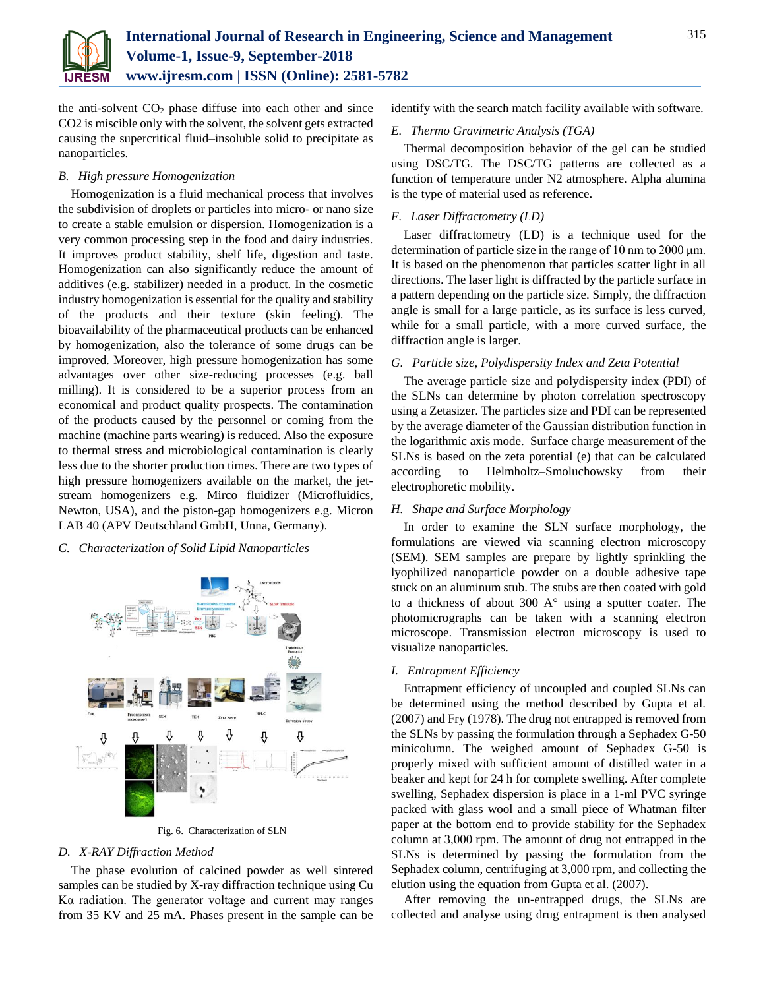

the anti-solvent  $CO<sub>2</sub>$  phase diffuse into each other and since CO2 is miscible only with the solvent, the solvent gets extracted causing the supercritical fluid–insoluble solid to precipitate as nanoparticles.

## *B. High pressure Homogenization*

Homogenization is a fluid mechanical process that involves the subdivision of droplets or particles into micro- or nano size to create a stable emulsion or dispersion. Homogenization is a very common processing step in the food and dairy industries. It improves product stability, shelf life, digestion and taste. Homogenization can also significantly reduce the amount of additives (e.g. stabilizer) needed in a product. In the cosmetic industry homogenization is essential for the quality and stability of the products and their texture (skin feeling). The bioavailability of the pharmaceutical products can be enhanced by homogenization, also the tolerance of some drugs can be improved. Moreover, high pressure homogenization has some advantages over other size-reducing processes (e.g. ball milling). It is considered to be a superior process from an economical and product quality prospects. The contamination of the products caused by the personnel or coming from the machine (machine parts wearing) is reduced. Also the exposure to thermal stress and microbiological contamination is clearly less due to the shorter production times. There are two types of high pressure homogenizers available on the market, the jetstream homogenizers e.g. Mirco fluidizer (Microfluidics, Newton, USA), and the piston-gap homogenizers e.g. Micron LAB 40 (APV Deutschland GmbH, Unna, Germany).

## *C. Characterization of Solid Lipid Nanoparticles*



Fig. 6. Characterization of SLN

## *D. X-RAY Diffraction Method*

The phase evolution of calcined powder as well sintered samples can be studied by X-ray diffraction technique using Cu Kα radiation. The generator voltage and current may ranges from 35 KV and 25 mA. Phases present in the sample can be identify with the search match facility available with software.

#### *E. Thermo Gravimetric Analysis (TGA)*

Thermal decomposition behavior of the gel can be studied using DSC/TG. The DSC/TG patterns are collected as a function of temperature under N2 atmosphere. Alpha alumina is the type of material used as reference.

### *F. Laser Diffractometry (LD)*

Laser diffractometry (LD) is a technique used for the determination of particle size in the range of 10 nm to 2000 μm. It is based on the phenomenon that particles scatter light in all directions. The laser light is diffracted by the particle surface in a pattern depending on the particle size. Simply, the diffraction angle is small for a large particle, as its surface is less curved, while for a small particle, with a more curved surface, the diffraction angle is larger.

### *G. Particle size, Polydispersity Index and Zeta Potential*

The average particle size and polydispersity index (PDI) of the SLNs can determine by photon correlation spectroscopy using a Zetasizer. The particles size and PDI can be represented by the average diameter of the Gaussian distribution function in the logarithmic axis mode. Surface charge measurement of the SLNs is based on the zeta potential (e) that can be calculated according to Helmholtz–Smoluchowsky from their electrophoretic mobility.

## *H. Shape and Surface Morphology*

In order to examine the SLN surface morphology, the formulations are viewed via scanning electron microscopy (SEM). SEM samples are prepare by lightly sprinkling the lyophilized nanoparticle powder on a double adhesive tape stuck on an aluminum stub. The stubs are then coated with gold to a thickness of about 300 A° using a sputter coater. The photomicrographs can be taken with a scanning electron microscope. Transmission electron microscopy is used to visualize nanoparticles.

## *I. Entrapment Efficiency*

Entrapment efficiency of uncoupled and coupled SLNs can be determined using the method described by Gupta et al. (2007) and Fry (1978). The drug not entrapped is removed from the SLNs by passing the formulation through a Sephadex G-50 minicolumn. The weighed amount of Sephadex G-50 is properly mixed with sufficient amount of distilled water in a beaker and kept for 24 h for complete swelling. After complete swelling, Sephadex dispersion is place in a 1-ml PVC syringe packed with glass wool and a small piece of Whatman filter paper at the bottom end to provide stability for the Sephadex column at 3,000 rpm. The amount of drug not entrapped in the SLNs is determined by passing the formulation from the Sephadex column, centrifuging at 3,000 rpm, and collecting the elution using the equation from Gupta et al. (2007).

After removing the un-entrapped drugs, the SLNs are collected and analyse using drug entrapment is then analysed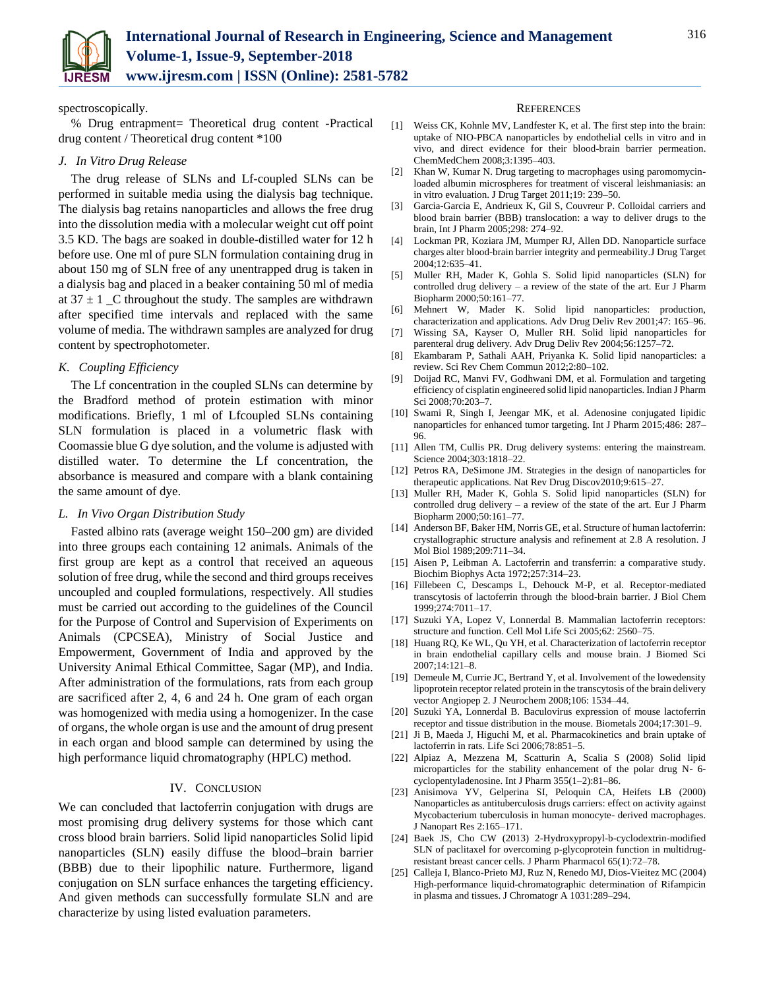

spectroscopically.

% Drug entrapment= Theoretical drug content -Practical drug content / Theoretical drug content \*100

## *J. In Vitro Drug Release*

The drug release of SLNs and Lf-coupled SLNs can be performed in suitable media using the dialysis bag technique. The dialysis bag retains nanoparticles and allows the free drug into the dissolution media with a molecular weight cut off point 3.5 KD. The bags are soaked in double-distilled water for 12 h before use. One ml of pure SLN formulation containing drug in about 150 mg of SLN free of any unentrapped drug is taken in a dialysis bag and placed in a beaker containing 50 ml of media at  $37 \pm 1$  C throughout the study. The samples are withdrawn after specified time intervals and replaced with the same volume of media. The withdrawn samples are analyzed for drug content by spectrophotometer.

## *K. Coupling Efficiency*

The Lf concentration in the coupled SLNs can determine by the Bradford method of protein estimation with minor modifications. Briefly, 1 ml of Lfcoupled SLNs containing SLN formulation is placed in a volumetric flask with Coomassie blue G dye solution, and the volume is adjusted with distilled water. To determine the Lf concentration, the absorbance is measured and compare with a blank containing the same amount of dye.

## *L. In Vivo Organ Distribution Study*

Fasted albino rats (average weight 150–200 gm) are divided into three groups each containing 12 animals. Animals of the first group are kept as a control that received an aqueous solution of free drug, while the second and third groups receives uncoupled and coupled formulations, respectively. All studies must be carried out according to the guidelines of the Council for the Purpose of Control and Supervision of Experiments on Animals (CPCSEA), Ministry of Social Justice and Empowerment, Government of India and approved by the University Animal Ethical Committee, Sagar (MP), and India. After administration of the formulations, rats from each group are sacrificed after 2, 4, 6 and 24 h. One gram of each organ was homogenized with media using a homogenizer. In the case of organs, the whole organ is use and the amount of drug present in each organ and blood sample can determined by using the high performance liquid chromatography (HPLC) method.

## IV. CONCLUSION

We can concluded that lactoferrin conjugation with drugs are most promising drug delivery systems for those which cant cross blood brain barriers. Solid lipid nanoparticles Solid lipid nanoparticles (SLN) easily diffuse the blood–brain barrier (BBB) due to their lipophilic nature. Furthermore, ligand conjugation on SLN surface enhances the targeting efficiency. And given methods can successfully formulate SLN and are characterize by using listed evaluation parameters.

#### **REFERENCES**

- [1] Weiss CK, Kohnle MV, Landfester K, et al. The first step into the brain: uptake of NIO-PBCA nanoparticles by endothelial cells in vitro and in vivo, and direct evidence for their blood-brain barrier permeation. ChemMedChem 2008;3:1395–403.
- [2] Khan W, Kumar N. Drug targeting to macrophages using paromomycinloaded albumin microspheres for treatment of visceral leishmaniasis: an in vitro evaluation. J Drug Target 2011;19: 239–50.
- [3] Garcia-Garcia E, Andrieux K, Gil S, Couvreur P. Colloidal carriers and blood brain barrier (BBB) translocation: a way to deliver drugs to the brain, Int J Pharm 2005;298: 274–92.
- [4] Lockman PR, Koziara JM, Mumper RJ, Allen DD. Nanoparticle surface charges alter blood-brain barrier integrity and permeability.J Drug Target 2004;12:635–41.
- [5] Muller RH, Mader K, Gohla S. Solid lipid nanoparticles (SLN) for controlled drug delivery – a review of the state of the art. Eur J Pharm Biopharm 2000;50:161–77.
- [6] Mehnert W, Mader K. Solid lipid nanoparticles: production, characterization and applications. Adv Drug Deliv Rev 2001;47: 165–96.
- [7] Wissing SA, Kayser O, Muller RH. Solid lipid nanoparticles for parenteral drug delivery. Adv Drug Deliv Rev 2004;56:1257–72.
- [8] Ekambaram P, Sathali AAH, Priyanka K. Solid lipid nanoparticles: a review. Sci Rev Chem Commun 2012;2:80–102.
- [9] Doijad RC, Manvi FV, Godhwani DM, et al. Formulation and targeting efficiency of cisplatin engineered solid lipid nanoparticles. Indian J Pharm Sci 2008;70:203–7.
- [10] Swami R, Singh I, Jeengar MK, et al. Adenosine conjugated lipidic nanoparticles for enhanced tumor targeting. Int J Pharm 2015;486: 287– 96.
- [11] Allen TM, Cullis PR. Drug delivery systems: entering the mainstream. Science 2004;303:1818–22.
- [12] Petros RA, DeSimone JM. Strategies in the design of nanoparticles for therapeutic applications. Nat Rev Drug Discov2010;9:615–27.
- [13] Muller RH, Mader K, Gohla S. Solid lipid nanoparticles (SLN) for controlled drug delivery – a review of the state of the art. Eur J Pharm Biopharm 2000;50:161–77.
- [14] Anderson BF, Baker HM, Norris GE, et al. Structure of human lactoferrin: crystallographic structure analysis and refinement at 2.8 A resolution. J Mol Biol 1989;209:711–34.
- [15] Aisen P, Leibman A. Lactoferrin and transferrin: a comparative study. Biochim Biophys Acta 1972;257:314–23.
- [16] Fillebeen C, Descamps L, Dehouck M-P, et al. Receptor-mediated transcytosis of lactoferrin through the blood-brain barrier. J Biol Chem 1999;274:7011–17.
- [17] Suzuki YA, Lopez V, Lonnerdal B. Mammalian lactoferrin receptors: structure and function. Cell Mol Life Sci 2005;62: 2560–75.
- [18] Huang RQ, Ke WL, Qu YH, et al. Characterization of lactoferrin receptor in brain endothelial capillary cells and mouse brain. J Biomed Sci 2007;14:121–8.
- [19] Demeule M, Currie JC, Bertrand Y, et al. Involvement of the lowedensity lipoprotein receptor related protein in the transcytosis of the brain delivery vector Angiopep 2. J Neurochem 2008;106: 1534–44.
- [20] Suzuki YA, Lonnerdal B. Baculovirus expression of mouse lactoferrin receptor and tissue distribution in the mouse. Biometals 2004;17:301–9.
- [21] Ji B, Maeda J, Higuchi M, et al. Pharmacokinetics and brain uptake of lactoferrin in rats. Life Sci 2006;78:851–5.
- [22] Alpiaz A, Mezzena M, Scatturin A, Scalia S (2008) Solid lipid microparticles for the stability enhancement of the polar drug N- 6 cyclopentyladenosine. Int J Pharm 355(1–2):81–86.
- [23] Anisimova YV, Gelperina SI, Peloquin CA, Heifets LB (2000) Nanoparticles as antituberculosis drugs carriers: effect on activity against Mycobacterium tuberculosis in human monocyte- derived macrophages. J Nanopart Res 2:165–171.
- [24] Baek JS, Cho CW (2013) 2-Hydroxypropyl-b-cyclodextrin-modified SLN of paclitaxel for overcoming p-glycoprotein function in multidrugresistant breast cancer cells. J Pharm Pharmacol 65(1):72–78.
- [25] Calleja I, Blanco-Prieto MJ, Ruz N, Renedo MJ, Dios-Vieitez MC (2004) High-performance liquid-chromatographic determination of Rifampicin in plasma and tissues. J Chromatogr A 1031:289–294.